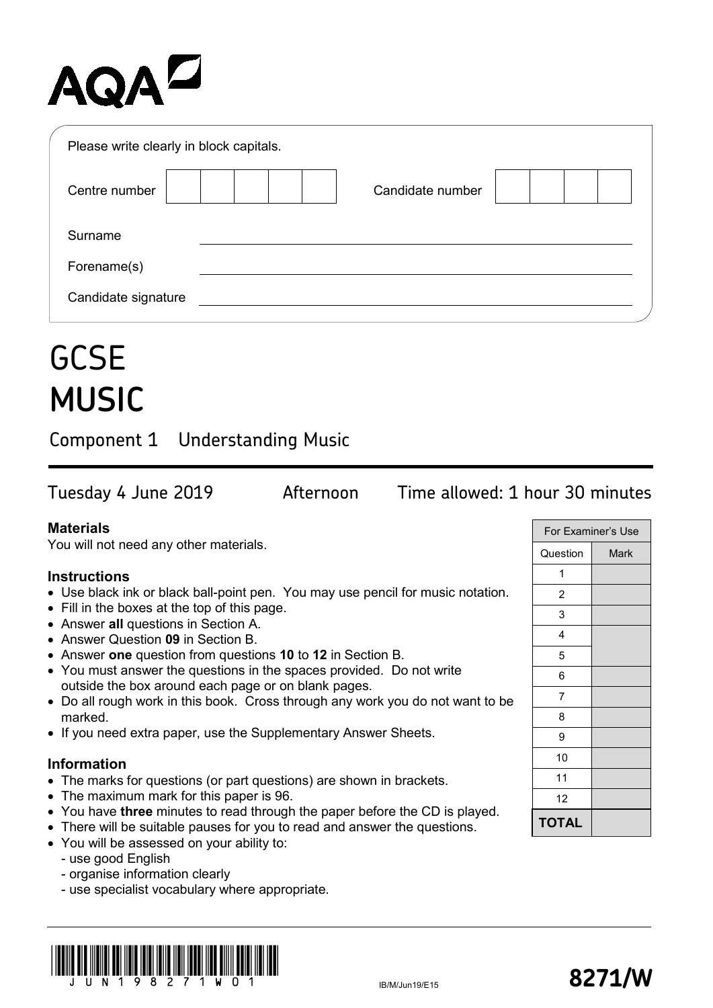# **AQAL**

| Please write clearly in block capitals. |                  |
|-----------------------------------------|------------------|
| Centre number                           | Candidate number |
| Surname                                 |                  |
| Forename(s)                             |                  |
| Candidate signature                     |                  |

## **GCSE MUSIC**

Component 1 Understanding Music

Tuesday 4 June 2019 Afternoon Time allowed: 1 hour 30 minutes

### **Materials**

You will not need any other materials.

### **Instructions**

- Use black ink or black ball-point pen. You may use pencil for music notation.
- Fill in the boxes at the top of this page.
- Answer **all** questions in Section A.
- Answer Question **09** in Section B.
- Answer **one** question from questions **10** to **12** in Section B.
- You must answer the questions in the spaces provided. Do not write outside the box around each page or on blank pages.
- Do all rough work in this book. Cross through any work you do not want to be marked.
- If you need extra paper, use the Supplementary Answer Sheets.

### **Information**

- The marks for questions (or part questions) are shown in brackets.
- The maximum mark for this paper is 96.
- You have **three** minutes to read through the paper before the CD is played.
- There will be suitable pauses for you to read and answer the questions.
- You will be assessed on your ability to:
	- use good English
	- organise information clearly
	- use specialist vocabulary where appropriate.

|  | J II N 1 9 8 2 7 1 W 0 1 |  |  |  |  |  |  |  |
|--|--------------------------|--|--|--|--|--|--|--|

| For Examiner's Use |             |  |  |  |  |  |
|--------------------|-------------|--|--|--|--|--|
| Question           | <b>Mark</b> |  |  |  |  |  |
| 1                  |             |  |  |  |  |  |
| $\overline{c}$     |             |  |  |  |  |  |
| 3                  |             |  |  |  |  |  |
| 4                  |             |  |  |  |  |  |
| 5                  |             |  |  |  |  |  |
| 6                  |             |  |  |  |  |  |
| 7                  |             |  |  |  |  |  |
| 8                  |             |  |  |  |  |  |
| 9                  |             |  |  |  |  |  |
| 10                 |             |  |  |  |  |  |
| 11                 |             |  |  |  |  |  |
| 12                 |             |  |  |  |  |  |
| <b>TOTAL</b>       |             |  |  |  |  |  |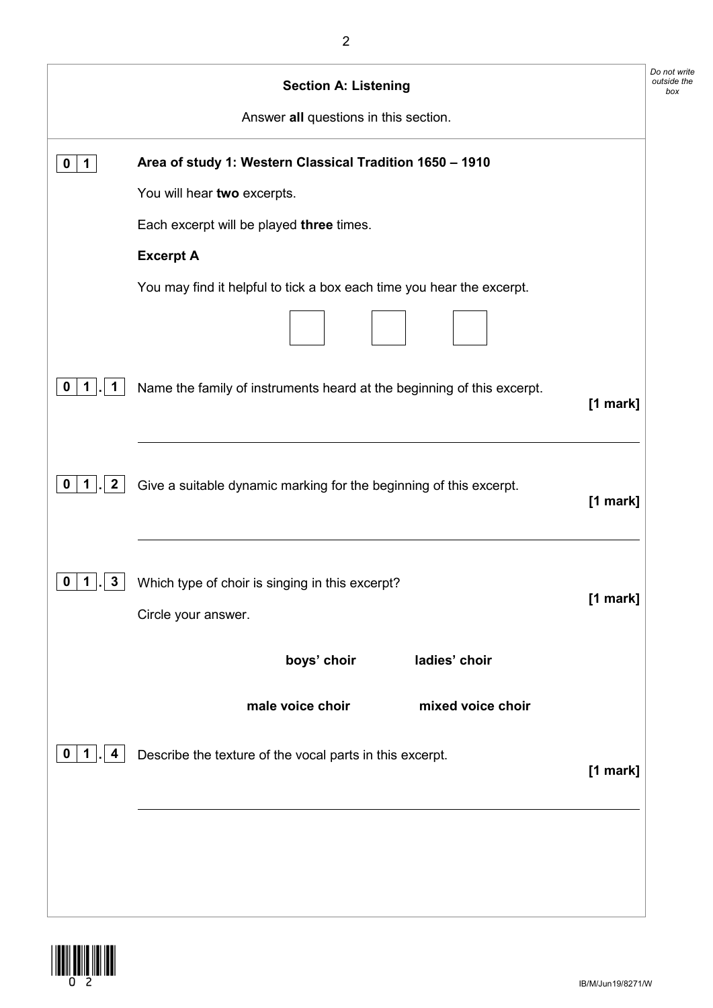|                            | <b>Section A: Listening</b>                                                        | Do not write<br>outside the<br>box |
|----------------------------|------------------------------------------------------------------------------------|------------------------------------|
|                            | Answer all questions in this section.                                              |                                    |
| 1<br>o                     | Area of study 1: Western Classical Tradition 1650 - 1910                           |                                    |
|                            | You will hear two excerpts.                                                        |                                    |
|                            | Each excerpt will be played three times.                                           |                                    |
|                            | <b>Excerpt A</b>                                                                   |                                    |
|                            | You may find it helpful to tick a box each time you hear the excerpt.              |                                    |
|                            |                                                                                    |                                    |
| 1<br>$\mathbf 1$           | Name the family of instruments heard at the beginning of this excerpt.<br>[1 mark] |                                    |
| $\boldsymbol{2}$<br>0<br>1 | Give a suitable dynamic marking for the beginning of this excerpt.<br>[1 mark]     |                                    |
| 3<br>U                     | Which type of choir is singing in this excerpt?<br>[1 mark]<br>Circle your answer. |                                    |
|                            | boys' choir<br>ladies' choir                                                       |                                    |
|                            | male voice choir<br>mixed voice choir                                              |                                    |
| 1<br>4<br>0                | Describe the texture of the vocal parts in this excerpt.<br>[1 mark]               |                                    |
|                            |                                                                                    |                                    |
|                            |                                                                                    |                                    |
|                            |                                                                                    |                                    |

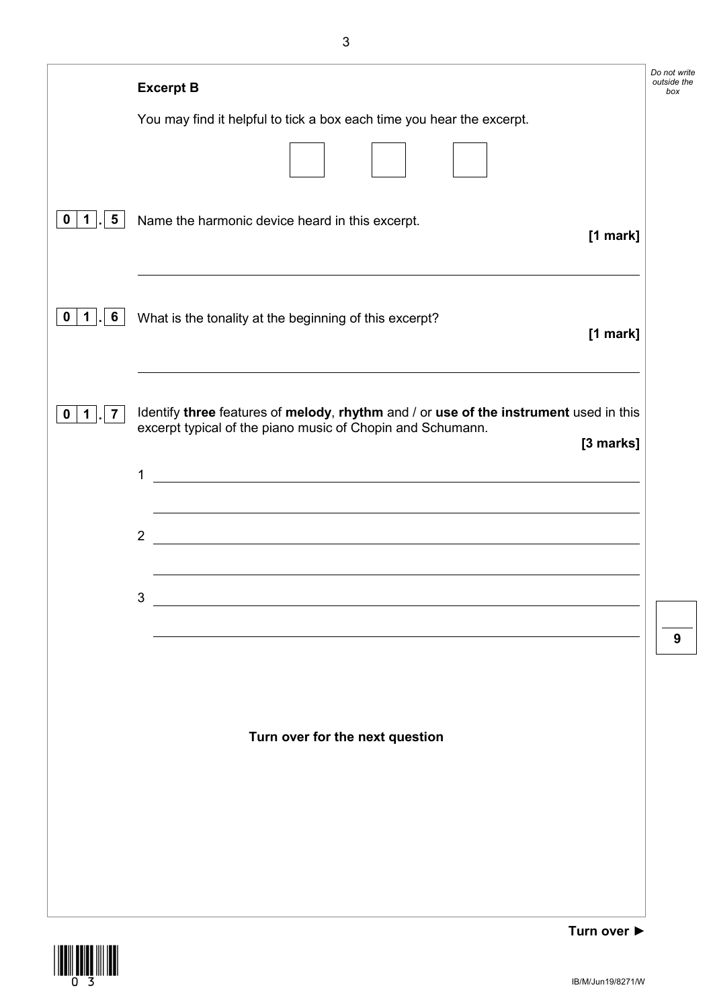|                                             | <b>Excerpt B</b>                                                                                                                                                 | Do not write<br>outside the<br>box |
|---------------------------------------------|------------------------------------------------------------------------------------------------------------------------------------------------------------------|------------------------------------|
|                                             | You may find it helpful to tick a box each time you hear the excerpt.                                                                                            |                                    |
|                                             |                                                                                                                                                                  |                                    |
| $\overline{\mathbf{5}}$<br>$\mathbf 1$<br>0 | Name the harmonic device heard in this excerpt.<br>[1 mark]                                                                                                      |                                    |
| $6\phantom{1}6$<br>$\mathbf 1$<br>$\bf{0}$  | What is the tonality at the beginning of this excerpt?<br>[1 mark]                                                                                               |                                    |
| $\mathbf{7}$<br>1<br>0                      | Identify three features of melody, rhythm and / or use of the instrument used in this<br>excerpt typical of the piano music of Chopin and Schumann.<br>[3 marks] |                                    |
|                                             | <u> 1980 - Johann Barn, marwolaethau a bhann an t-Amhain Aonaich an t-Amhain Aonaich an t-Amhain Aonaich an t-Amh</u><br>1                                       |                                    |
|                                             | <u> 1989 - Johann Stoff, deutscher Stoffen und der Stoffen und der Stoffen und der Stoffen und der Stoffen und der</u><br>$\overline{2}$                         |                                    |
|                                             | 3                                                                                                                                                                |                                    |
|                                             |                                                                                                                                                                  | 9                                  |
|                                             |                                                                                                                                                                  |                                    |
|                                             | Turn over for the next question                                                                                                                                  |                                    |
|                                             |                                                                                                                                                                  |                                    |
|                                             |                                                                                                                                                                  |                                    |
|                                             |                                                                                                                                                                  |                                    |
|                                             |                                                                                                                                                                  |                                    |

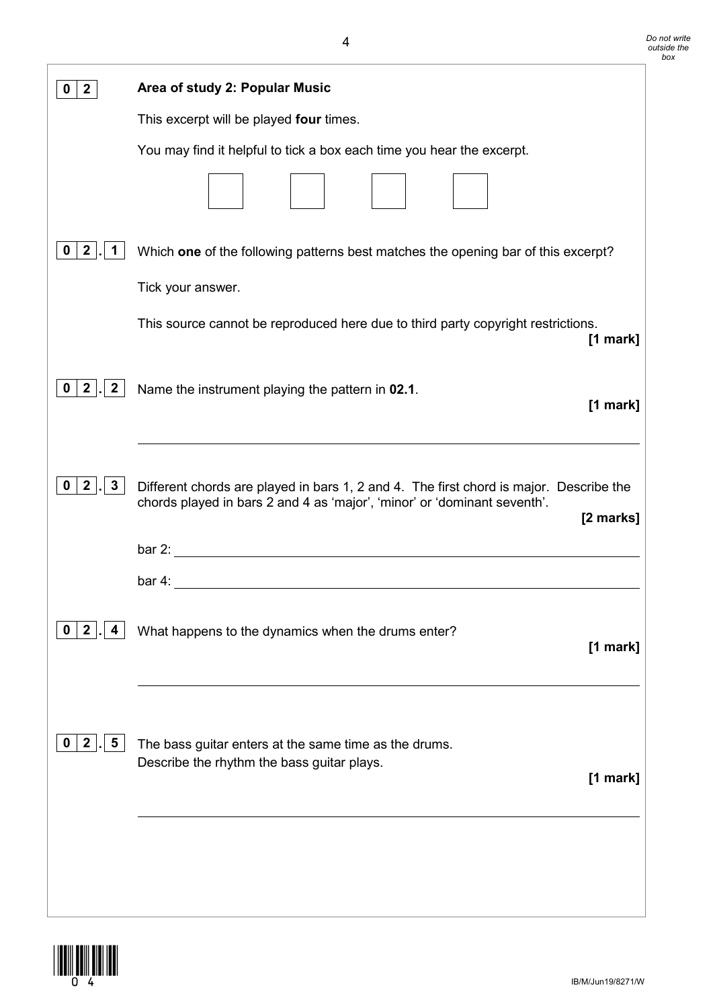| $\mathbf{2}$                                     | Area of study 2: Popular Music                                                                                                                                                  |
|--------------------------------------------------|---------------------------------------------------------------------------------------------------------------------------------------------------------------------------------|
|                                                  | This excerpt will be played four times.                                                                                                                                         |
|                                                  | You may find it helpful to tick a box each time you hear the excerpt.                                                                                                           |
|                                                  |                                                                                                                                                                                 |
| $\mathbf{2}$<br>0<br>1                           | Which one of the following patterns best matches the opening bar of this excerpt?                                                                                               |
|                                                  | Tick your answer.                                                                                                                                                               |
|                                                  | This source cannot be reproduced here due to third party copyright restrictions.<br>[1 mark]                                                                                    |
| $\mathbf{2}$<br>$\vert 2 \vert$<br>$\mathbf 0$   | Name the instrument playing the pattern in 02.1.<br>[1 mark]                                                                                                                    |
| 2 <br>$3\phantom{a}$<br>$\mathbf 0$              | Different chords are played in bars 1, 2 and 4. The first chord is major. Describe the<br>chords played in bars 2 and 4 as 'major', 'minor' or 'dominant seventh'.<br>[2 marks] |
|                                                  |                                                                                                                                                                                 |
|                                                  | $bar 4$ :<br><u> 1980 - Johann Stoff, fransk politik (d. 1980)</u>                                                                                                              |
| $\vert 2 \vert$<br>$\mathbf 0$<br>4              | What happens to the dynamics when the drums enter?<br>[1 mark]                                                                                                                  |
| $5\overline{)}$<br>$\overline{2}$<br>$\mathbf 0$ | The bass guitar enters at the same time as the drums.<br>Describe the rhythm the bass guitar plays.<br>$[1$ mark]                                                               |
|                                                  |                                                                                                                                                                                 |

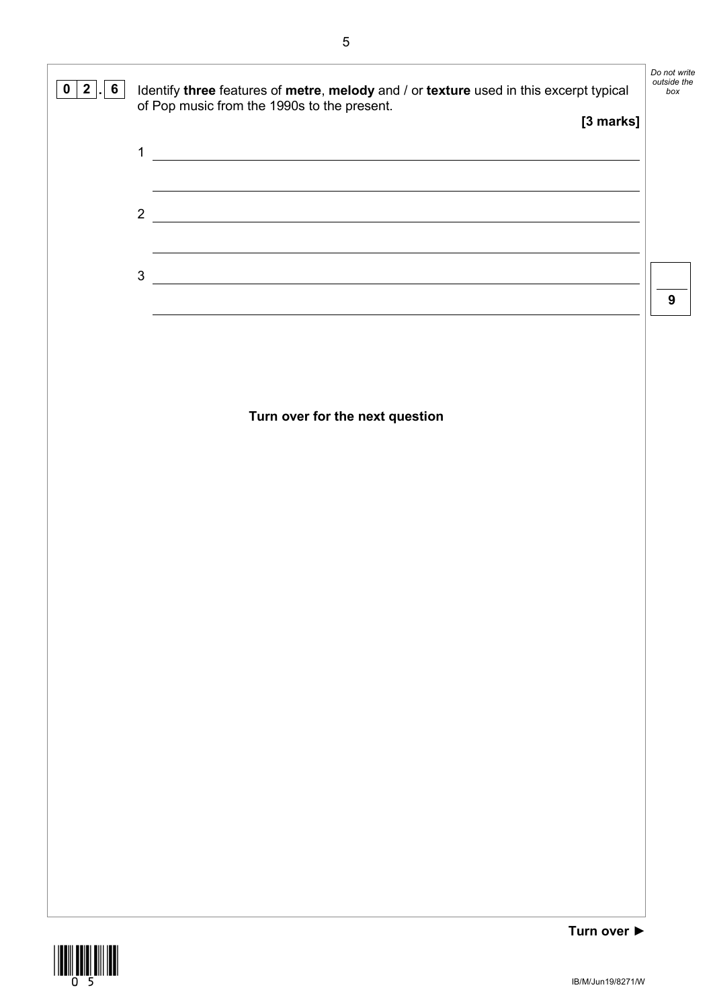

IB/M/Jun19/8271/W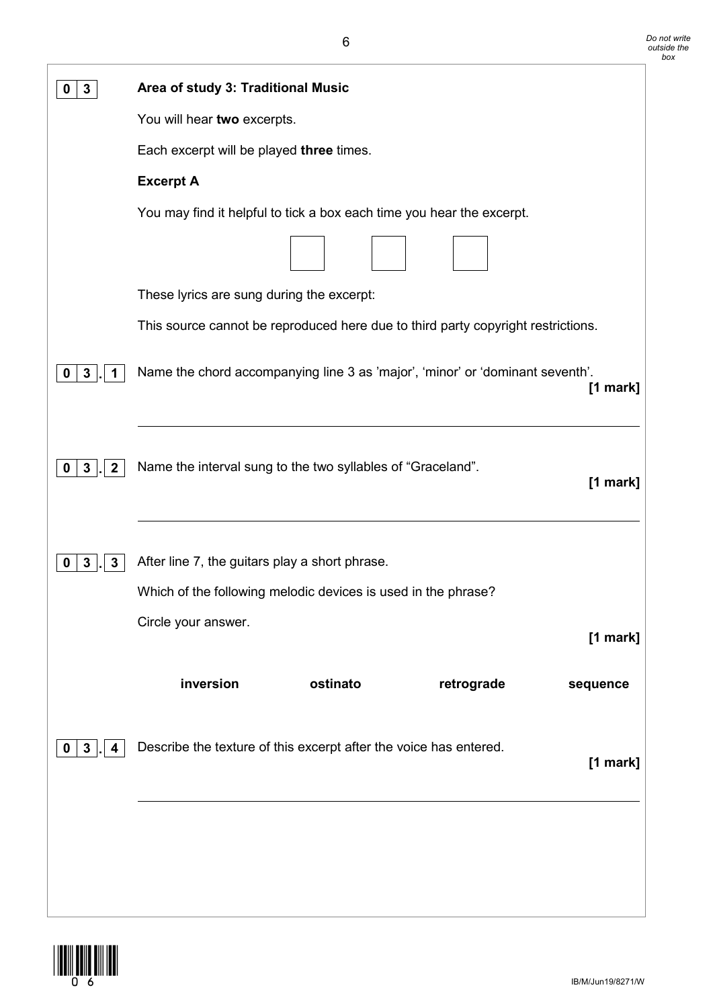| $\mathbf{3}$<br>Ü                   | Area of study 3: Traditional Music                                                          |
|-------------------------------------|---------------------------------------------------------------------------------------------|
|                                     | You will hear two excerpts.                                                                 |
|                                     | Each excerpt will be played three times.                                                    |
|                                     | <b>Excerpt A</b>                                                                            |
|                                     | You may find it helpful to tick a box each time you hear the excerpt.                       |
|                                     | These lyrics are sung during the excerpt:                                                   |
|                                     | This source cannot be reproduced here due to third party copyright restrictions.            |
| $\mathbf{3}$<br>0                   | Name the chord accompanying line 3 as 'major', 'minor' or 'dominant seventh'.<br>$[1$ mark] |
| $\mathbf{3}$<br>$\overline{2}$<br>0 | Name the interval sung to the two syllables of "Graceland".<br>[1 mark]                     |
| $\mathbf{3}$<br>3<br>0              | After line 7, the guitars play a short phrase.                                              |
|                                     | Which of the following melodic devices is used in the phrase?                               |
|                                     | Circle your answer.<br>$[1$ mark]                                                           |
|                                     | inversion<br>ostinato<br>retrograde<br>sequence                                             |
| $3\phantom{a}$<br>4<br>0            | Describe the texture of this excerpt after the voice has entered.<br>$[1$ mark]             |
|                                     |                                                                                             |

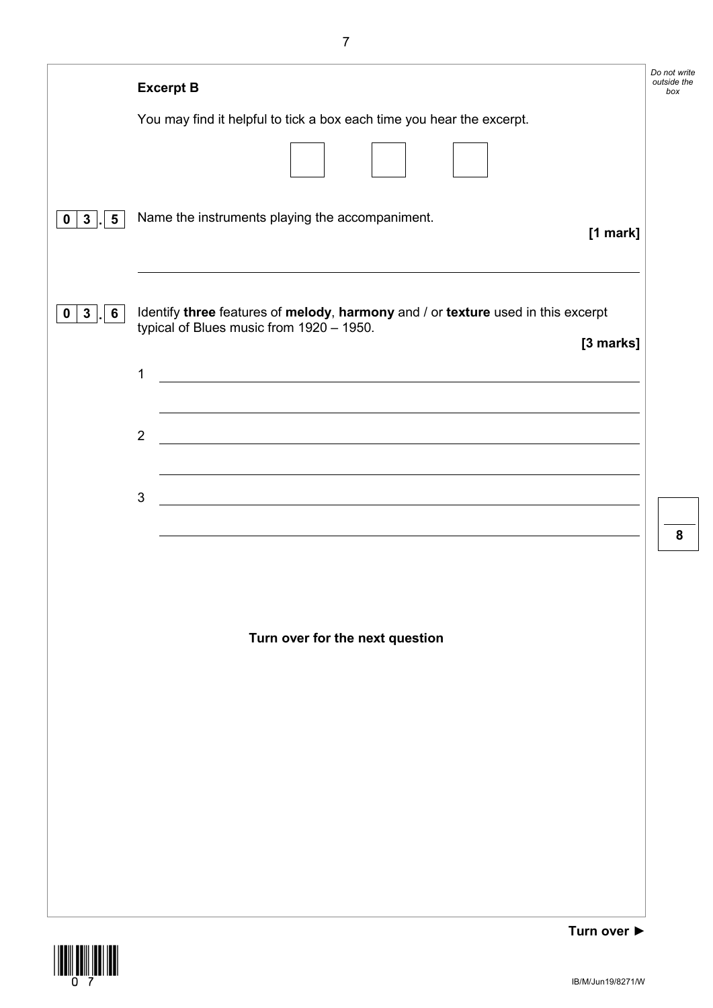|                                                  | <b>Excerpt B</b>                                                                                                                          | Do not write<br>outside the<br>box |
|--------------------------------------------------|-------------------------------------------------------------------------------------------------------------------------------------------|------------------------------------|
|                                                  | You may find it helpful to tick a box each time you hear the excerpt.                                                                     |                                    |
|                                                  |                                                                                                                                           |                                    |
| 3 <sup>1</sup><br>$5\phantom{.0}$<br>$\mathbf 0$ | Name the instruments playing the accompaniment.<br>[1 mark]                                                                               |                                    |
| $\mathbf{3}$<br>6<br>0                           | Identify three features of melody, harmony and / or texture used in this excerpt<br>typical of Blues music from 1920 - 1950.<br>[3 marks] |                                    |
|                                                  | 1<br><u> 1989 - Johann Stoff, deutscher Stoffen und der Stoffen und der Stoffen und der Stoffen und der Stoffen und de</u>                |                                    |
|                                                  | $\overline{2}$<br><u> 1989 - Johann Stoff, deutscher Stoff, der Stoff, der Stoff, der Stoff, der Stoff, der Stoff, der Stoff, der S</u>   |                                    |
|                                                  | $\mathfrak{S}$<br><u> 1980 - Andrea Barbara, poeta esperanto-poeta esperanto-poeta esperanto-poeta esperanto-poeta esperanto-poeta</u>    |                                    |
|                                                  |                                                                                                                                           | 8                                  |
|                                                  |                                                                                                                                           |                                    |
|                                                  | Turn over for the next question                                                                                                           |                                    |
|                                                  |                                                                                                                                           |                                    |
|                                                  |                                                                                                                                           |                                    |
|                                                  |                                                                                                                                           |                                    |
|                                                  |                                                                                                                                           |                                    |
|                                                  |                                                                                                                                           |                                    |
|                                                  |                                                                                                                                           |                                    |

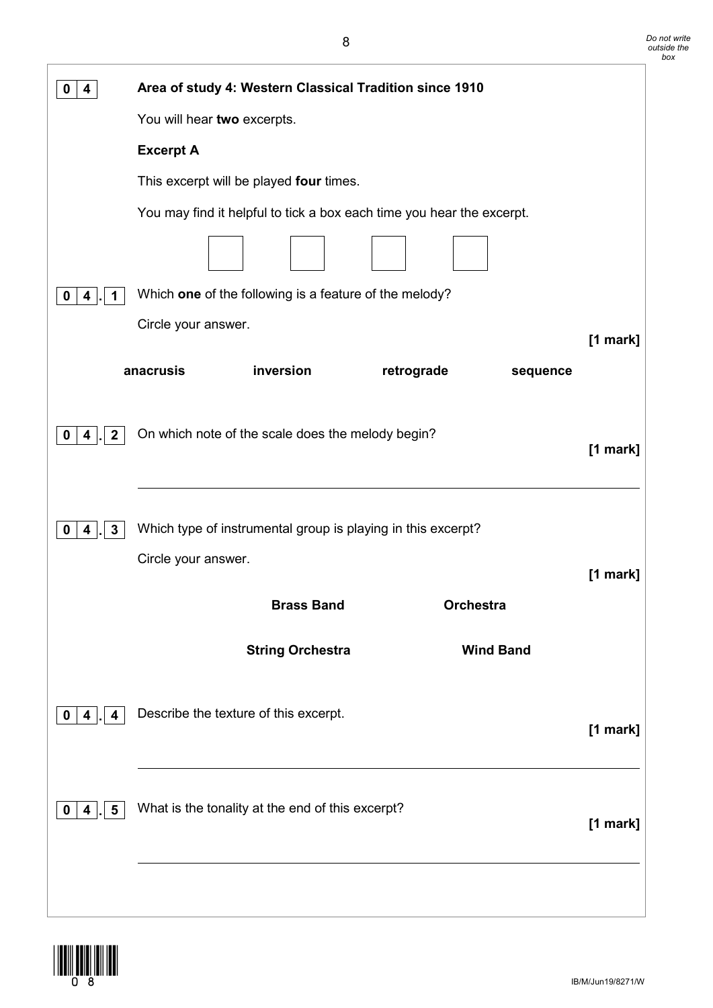| 4<br>0                 | Area of study 4: Western Classical Tradition since 1910                             |          |  |  |  |  |  |
|------------------------|-------------------------------------------------------------------------------------|----------|--|--|--|--|--|
|                        | You will hear two excerpts.                                                         |          |  |  |  |  |  |
|                        | <b>Excerpt A</b>                                                                    |          |  |  |  |  |  |
|                        | This excerpt will be played four times.                                             |          |  |  |  |  |  |
|                        | You may find it helpful to tick a box each time you hear the excerpt.               |          |  |  |  |  |  |
|                        |                                                                                     |          |  |  |  |  |  |
| 0<br>4<br>1            | Which one of the following is a feature of the melody?                              |          |  |  |  |  |  |
|                        | Circle your answer.                                                                 |          |  |  |  |  |  |
|                        | inversion<br>anacrusis<br>retrograde<br>sequence                                    | [1 mark] |  |  |  |  |  |
| $\mathbf{2}$<br>0<br>4 | On which note of the scale does the melody begin?                                   | [1 mark] |  |  |  |  |  |
| 3<br>0<br>4            | Which type of instrumental group is playing in this excerpt?<br>Circle your answer. |          |  |  |  |  |  |
|                        |                                                                                     | [1 mark] |  |  |  |  |  |
|                        | <b>Brass Band</b><br>Orchestra                                                      |          |  |  |  |  |  |
|                        | <b>Wind Band</b><br><b>String Orchestra</b>                                         |          |  |  |  |  |  |
| 0<br>4<br>4            | Describe the texture of this excerpt.                                               | [1 mark] |  |  |  |  |  |
| 5<br>0<br>4            | What is the tonality at the end of this excerpt?                                    | [1 mark] |  |  |  |  |  |
|                        |                                                                                     |          |  |  |  |  |  |

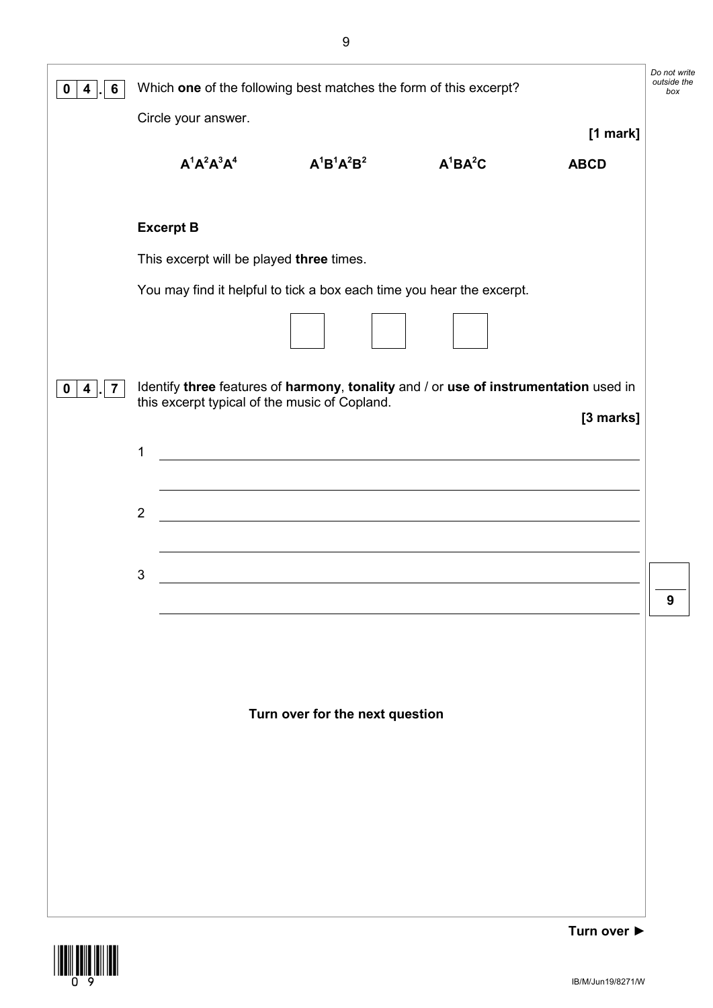| 6<br>4<br>0                       | Do not write<br>outside the<br>Which one of the following best matches the form of this excerpt? |                                          |                                                                                                                                       |            |             |   |  |
|-----------------------------------|--------------------------------------------------------------------------------------------------|------------------------------------------|---------------------------------------------------------------------------------------------------------------------------------------|------------|-------------|---|--|
|                                   |                                                                                                  | Circle your answer.                      |                                                                                                                                       |            | $[1$ mark]  |   |  |
|                                   |                                                                                                  | $A^1A^2A^3A^4$                           | $A^{1}B^{1}A^{2}B^{2}$                                                                                                                | $A^1BA^2C$ | <b>ABCD</b> |   |  |
|                                   |                                                                                                  | <b>Excerpt B</b>                         |                                                                                                                                       |            |             |   |  |
|                                   |                                                                                                  | This excerpt will be played three times. |                                                                                                                                       |            |             |   |  |
|                                   |                                                                                                  |                                          | You may find it helpful to tick a box each time you hear the excerpt.                                                                 |            |             |   |  |
|                                   |                                                                                                  |                                          |                                                                                                                                       |            |             |   |  |
| $\overline{\mathbf{7}}$<br>4<br>0 |                                                                                                  |                                          | Identify three features of harmony, tonality and / or use of instrumentation used in<br>this excerpt typical of the music of Copland. |            |             |   |  |
|                                   | 1                                                                                                |                                          | <u> 1980 - Johann Stein, marwolaethau (b. 1980)</u>                                                                                   |            | [3 marks]   |   |  |
|                                   |                                                                                                  |                                          |                                                                                                                                       |            |             |   |  |
|                                   | $\overline{2}$                                                                                   |                                          | <u> 1989 - Johann Stoff, deutscher Stoffen und der Stoffen und der Stoffen und der Stoffen und der Stoffen und der</u>                |            |             |   |  |
|                                   |                                                                                                  |                                          |                                                                                                                                       |            |             |   |  |
|                                   | $\mathbf{3}$                                                                                     |                                          | <u> 1989 - Jan Samuel Barbara, margaret e populari e populari e populari e populari e populari e populari e popu</u>                  |            |             | A |  |
|                                   |                                                                                                  |                                          |                                                                                                                                       |            |             |   |  |
|                                   |                                                                                                  |                                          |                                                                                                                                       |            |             |   |  |
|                                   |                                                                                                  |                                          | Turn over for the next question                                                                                                       |            |             |   |  |
|                                   |                                                                                                  |                                          |                                                                                                                                       |            |             |   |  |
|                                   |                                                                                                  |                                          |                                                                                                                                       |            |             |   |  |
|                                   |                                                                                                  |                                          |                                                                                                                                       |            |             |   |  |
|                                   |                                                                                                  |                                          |                                                                                                                                       |            |             |   |  |
|                                   |                                                                                                  |                                          |                                                                                                                                       |            |             |   |  |
|                                   |                                                                                                  |                                          |                                                                                                                                       |            |             |   |  |

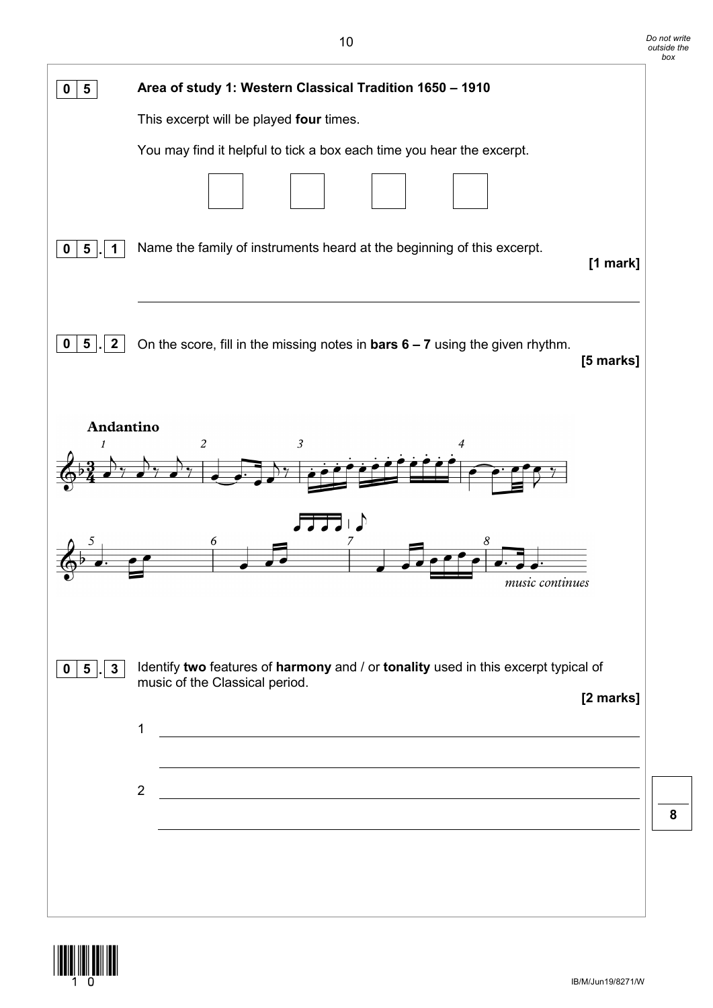| Area of study 1: Western Classical Tradition 1650 - 1910<br>$\overline{\mathbf{5}}$<br>0<br>This excerpt will be played four times.<br>You may find it helpful to tick a box each time you hear the excerpt.<br>Name the family of instruments heard at the beginning of this excerpt.<br>$5\phantom{1}$<br>$\mathbf 0$<br>$[1$ mark]<br>$5\phantom{.0}$<br>$\mathbf{2}$<br>On the score, fill in the missing notes in <b>bars <math>6 - 7</math></b> using the given rhythm.<br>0<br>[5 marks]<br>Andantino<br>$\mathfrak{Z}$<br>2<br>$\sqrt{ }$<br>6<br>8<br>music continues<br>Identify two features of harmony and / or tonality used in this excerpt typical of<br>$5\overline{)}$<br>3<br>$\mathbf 0$<br>music of the Classical period.<br>[2 marks]<br>1<br><u> 1989 - Johann Stoff, deutscher Stoffen und der Stoffen und der Stoffen und der Stoffen und der Stoffen und de</u><br>$\overline{2}$<br><u> 1980 - Johann Stoff, fransk politik (d. 1980)</u> |  |
|---------------------------------------------------------------------------------------------------------------------------------------------------------------------------------------------------------------------------------------------------------------------------------------------------------------------------------------------------------------------------------------------------------------------------------------------------------------------------------------------------------------------------------------------------------------------------------------------------------------------------------------------------------------------------------------------------------------------------------------------------------------------------------------------------------------------------------------------------------------------------------------------------------------------------------------------------------------------|--|
|                                                                                                                                                                                                                                                                                                                                                                                                                                                                                                                                                                                                                                                                                                                                                                                                                                                                                                                                                                     |  |
|                                                                                                                                                                                                                                                                                                                                                                                                                                                                                                                                                                                                                                                                                                                                                                                                                                                                                                                                                                     |  |
|                                                                                                                                                                                                                                                                                                                                                                                                                                                                                                                                                                                                                                                                                                                                                                                                                                                                                                                                                                     |  |
|                                                                                                                                                                                                                                                                                                                                                                                                                                                                                                                                                                                                                                                                                                                                                                                                                                                                                                                                                                     |  |
|                                                                                                                                                                                                                                                                                                                                                                                                                                                                                                                                                                                                                                                                                                                                                                                                                                                                                                                                                                     |  |
|                                                                                                                                                                                                                                                                                                                                                                                                                                                                                                                                                                                                                                                                                                                                                                                                                                                                                                                                                                     |  |
|                                                                                                                                                                                                                                                                                                                                                                                                                                                                                                                                                                                                                                                                                                                                                                                                                                                                                                                                                                     |  |
|                                                                                                                                                                                                                                                                                                                                                                                                                                                                                                                                                                                                                                                                                                                                                                                                                                                                                                                                                                     |  |
|                                                                                                                                                                                                                                                                                                                                                                                                                                                                                                                                                                                                                                                                                                                                                                                                                                                                                                                                                                     |  |
|                                                                                                                                                                                                                                                                                                                                                                                                                                                                                                                                                                                                                                                                                                                                                                                                                                                                                                                                                                     |  |
|                                                                                                                                                                                                                                                                                                                                                                                                                                                                                                                                                                                                                                                                                                                                                                                                                                                                                                                                                                     |  |
|                                                                                                                                                                                                                                                                                                                                                                                                                                                                                                                                                                                                                                                                                                                                                                                                                                                                                                                                                                     |  |
|                                                                                                                                                                                                                                                                                                                                                                                                                                                                                                                                                                                                                                                                                                                                                                                                                                                                                                                                                                     |  |
|                                                                                                                                                                                                                                                                                                                                                                                                                                                                                                                                                                                                                                                                                                                                                                                                                                                                                                                                                                     |  |



*Do not write*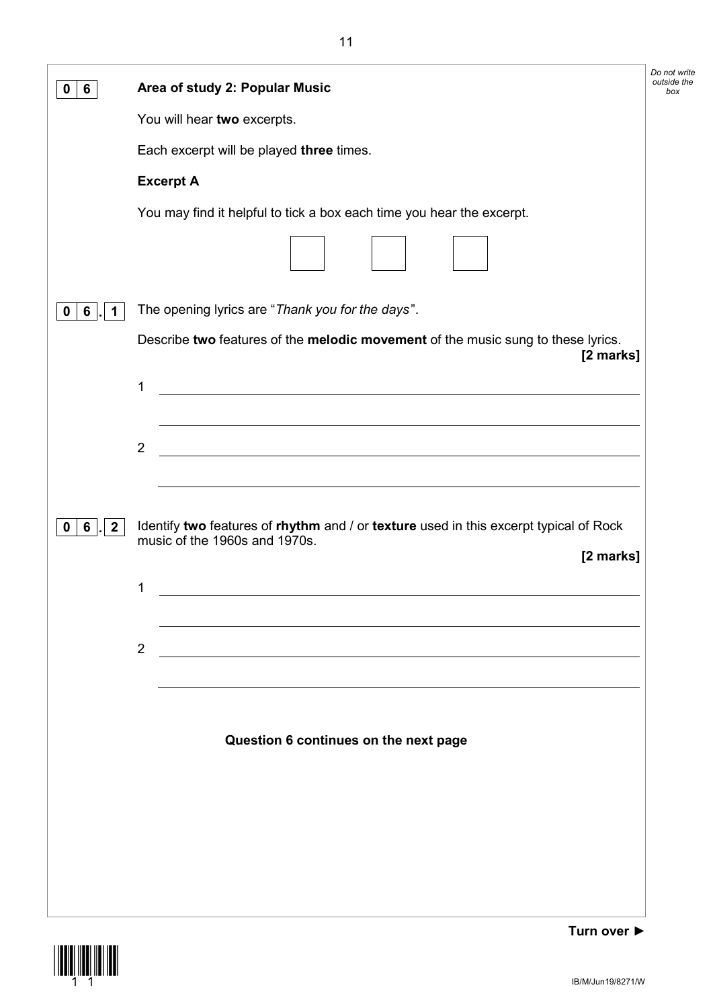| 6                                     | Area of study 2: Popular Music                                                                                                                                                                                                            | Do not write<br>outside the<br>box |
|---------------------------------------|-------------------------------------------------------------------------------------------------------------------------------------------------------------------------------------------------------------------------------------------|------------------------------------|
|                                       | You will hear two excerpts.                                                                                                                                                                                                               |                                    |
|                                       | Each excerpt will be played three times.                                                                                                                                                                                                  |                                    |
|                                       | <b>Excerpt A</b>                                                                                                                                                                                                                          |                                    |
|                                       | You may find it helpful to tick a box each time you hear the excerpt.                                                                                                                                                                     |                                    |
|                                       |                                                                                                                                                                                                                                           |                                    |
| $6\phantom{1}6$<br>0<br>1             | The opening lyrics are "Thank you for the days".                                                                                                                                                                                          |                                    |
|                                       | Describe two features of the melodic movement of the music sung to these lyrics.<br>[2 marks]                                                                                                                                             |                                    |
|                                       | <u> 1989 - Johann Stoff, deutscher Stoffen und der Stoffen und der Stoffen und der Stoffen und der Stoffen und der</u><br>1                                                                                                               |                                    |
|                                       | <u> 1989 - Johann Stoff, deutscher Stoffen und der Stoffen und der Stoffen und der Stoffen und der Stoffen und der</u>                                                                                                                    |                                    |
|                                       | <u> 1989 - Johann Stoff, deutscher Stoffen und der Stoffen und der Stoffen und der Stoffen und der Stoffen und de</u><br>$\overline{2}$                                                                                                   |                                    |
|                                       |                                                                                                                                                                                                                                           |                                    |
| $6\phantom{1}$<br>$\overline{2}$<br>0 | Identify two features of rhythm and / or texture used in this excerpt typical of Rock                                                                                                                                                     |                                    |
|                                       | music of the 1960s and 1970s.<br>[2 marks]                                                                                                                                                                                                |                                    |
|                                       | 1<br><u>and the company of the company of the company of the company of the company of the company of the company of the company of the company of the company of the company of the company of the company of the company of the com</u> |                                    |
|                                       |                                                                                                                                                                                                                                           |                                    |
|                                       | $\overline{2}$                                                                                                                                                                                                                            |                                    |
|                                       |                                                                                                                                                                                                                                           |                                    |
|                                       |                                                                                                                                                                                                                                           |                                    |
|                                       | Question 6 continues on the next page                                                                                                                                                                                                     |                                    |
|                                       |                                                                                                                                                                                                                                           |                                    |
|                                       |                                                                                                                                                                                                                                           |                                    |
|                                       |                                                                                                                                                                                                                                           |                                    |
|                                       |                                                                                                                                                                                                                                           |                                    |
|                                       |                                                                                                                                                                                                                                           |                                    |

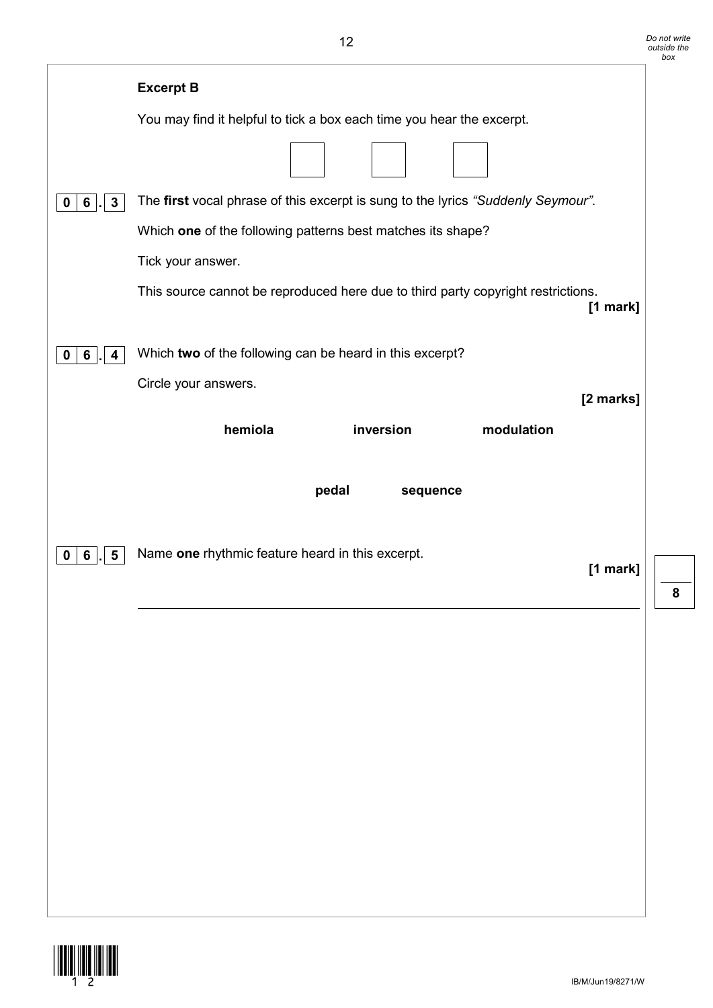|                                     | <b>Excerpt B</b>                                                                               |
|-------------------------------------|------------------------------------------------------------------------------------------------|
|                                     | You may find it helpful to tick a box each time you hear the excerpt.                          |
|                                     |                                                                                                |
| $\mathbf{3}$<br>6 <sup>1</sup><br>0 | The first vocal phrase of this excerpt is sung to the lyrics "Suddenly Seymour".               |
|                                     | Which one of the following patterns best matches its shape?                                    |
|                                     | Tick your answer.                                                                              |
|                                     | This source cannot be reproduced here due to third party copyright restrictions.<br>$[1$ mark] |
| 0<br>6<br>4                         | Which two of the following can be heard in this excerpt?                                       |
|                                     | Circle your answers.                                                                           |
|                                     | [2 marks]<br>hemiola<br>inversion<br>modulation                                                |
|                                     |                                                                                                |
|                                     | pedal<br>sequence                                                                              |
|                                     |                                                                                                |
| 5<br>6<br>0                         | Name one rhythmic feature heard in this excerpt.                                               |
|                                     | $[1$ mark]                                                                                     |
|                                     |                                                                                                |
|                                     |                                                                                                |
|                                     |                                                                                                |
|                                     |                                                                                                |
|                                     |                                                                                                |
|                                     |                                                                                                |
|                                     |                                                                                                |
|                                     |                                                                                                |
|                                     |                                                                                                |
|                                     |                                                                                                |

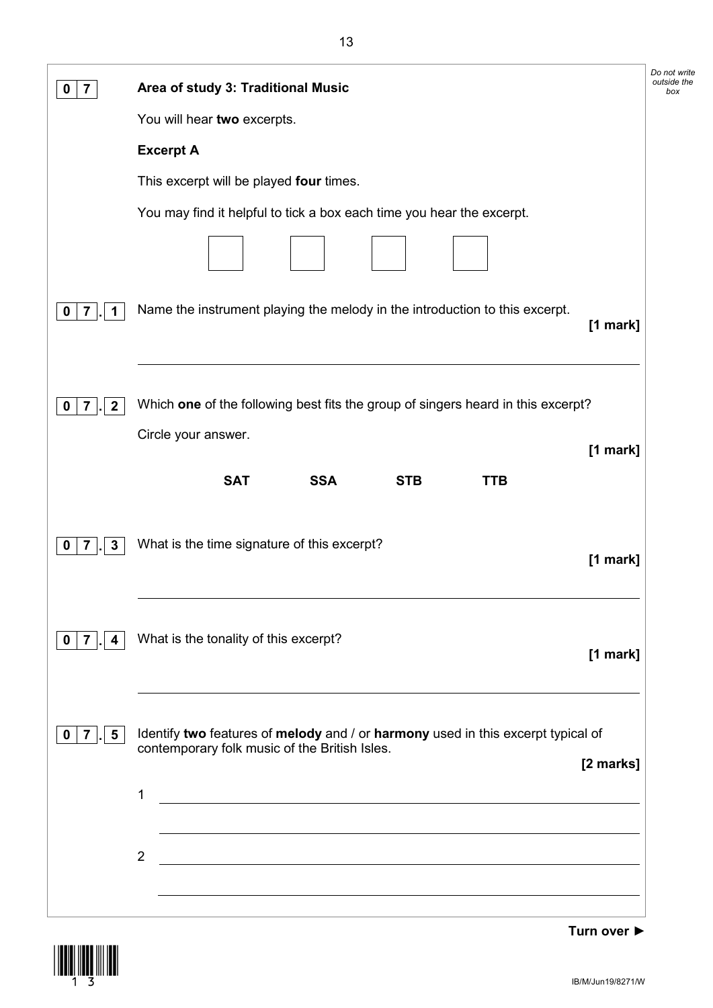|                                                  | Area of study 3: Traditional Music                                                                                                                                                                                                                                            | Do not write<br>outside the<br>box |
|--------------------------------------------------|-------------------------------------------------------------------------------------------------------------------------------------------------------------------------------------------------------------------------------------------------------------------------------|------------------------------------|
|                                                  | You will hear two excerpts.                                                                                                                                                                                                                                                   |                                    |
|                                                  | <b>Excerpt A</b>                                                                                                                                                                                                                                                              |                                    |
|                                                  | This excerpt will be played four times.                                                                                                                                                                                                                                       |                                    |
|                                                  | You may find it helpful to tick a box each time you hear the excerpt.                                                                                                                                                                                                         |                                    |
|                                                  |                                                                                                                                                                                                                                                                               |                                    |
| 7<br>1<br>0                                      | Name the instrument playing the melody in the introduction to this excerpt.<br>[1 mark]                                                                                                                                                                                       |                                    |
| $\boldsymbol{2}$<br>7                            | Which one of the following best fits the group of singers heard in this excerpt?<br>Circle your answer.                                                                                                                                                                       |                                    |
|                                                  | [1 mark]                                                                                                                                                                                                                                                                      |                                    |
|                                                  | <b>SSA</b><br><b>SAT</b><br><b>STB</b><br><b>TTB</b>                                                                                                                                                                                                                          |                                    |
| $\mathbf{3}$<br>7                                | What is the time signature of this excerpt?<br>$[1$ mark]                                                                                                                                                                                                                     |                                    |
| $\overline{7}$<br>4<br>0                         | What is the tonality of this excerpt?<br>$[1$ mark]                                                                                                                                                                                                                           |                                    |
| $\overline{7}$<br>$5\overline{)}$<br>$\mathbf 0$ | Identify two features of melody and / or harmony used in this excerpt typical of<br>contemporary folk music of the British Isles.<br>[2 marks]<br>1<br><u> 1989 - Johann Stoff, deutscher Stoffen und der Stoffen und der Stoffen und der Stoffen und der Stoffen und der</u> |                                    |
|                                                  | $\overline{2}$<br><u> 1980 - Johann Barn, mars ann an t-Amhain Aonaich an t-Aonaich an t-Aonaich ann an t-Aonaich ann an t-Aonaich</u><br><u> 1989 - Johann Stoff, amerikansk politiker (d. 1989)</u>                                                                         |                                    |



**Turn over ►**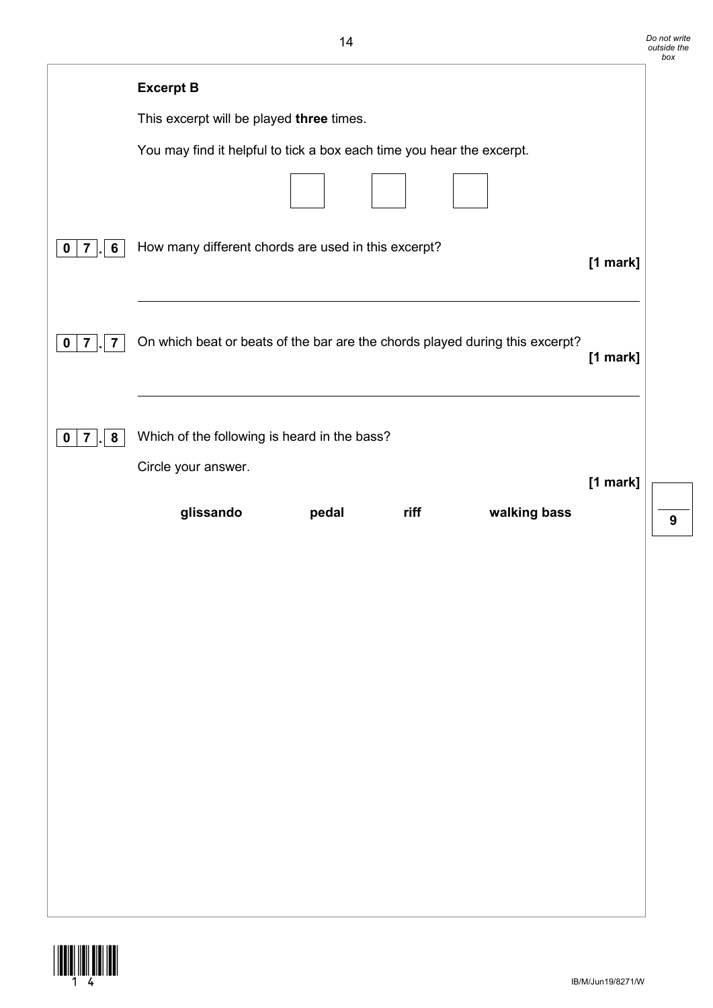|                                                          |                                                                              |          | box |
|----------------------------------------------------------|------------------------------------------------------------------------------|----------|-----|
|                                                          | <b>Excerpt B</b>                                                             |          |     |
|                                                          | This excerpt will be played three times.                                     |          |     |
|                                                          | You may find it helpful to tick a box each time you hear the excerpt.        |          |     |
|                                                          |                                                                              |          |     |
| 6<br>$\mathbf 0$<br>$\overline{7}$                       | How many different chords are used in this excerpt?                          | [1 mark] |     |
| $\overline{7}$<br>$\overline{\mathbf{7}}$<br>$\mathbf 0$ | On which beat or beats of the bar are the chords played during this excerpt? | [1 mark] |     |
| 8<br>$\mathbf 0$<br>7                                    | Which of the following is heard in the bass?<br>Circle your answer.          |          |     |
|                                                          | glissando<br>walking bass<br>riff<br>pedal                                   | [1 mark] | g   |
|                                                          |                                                                              |          |     |
|                                                          |                                                                              |          |     |
|                                                          |                                                                              |          |     |
|                                                          |                                                                              |          |     |
|                                                          |                                                                              |          |     |
|                                                          |                                                                              |          |     |
|                                                          |                                                                              |          |     |

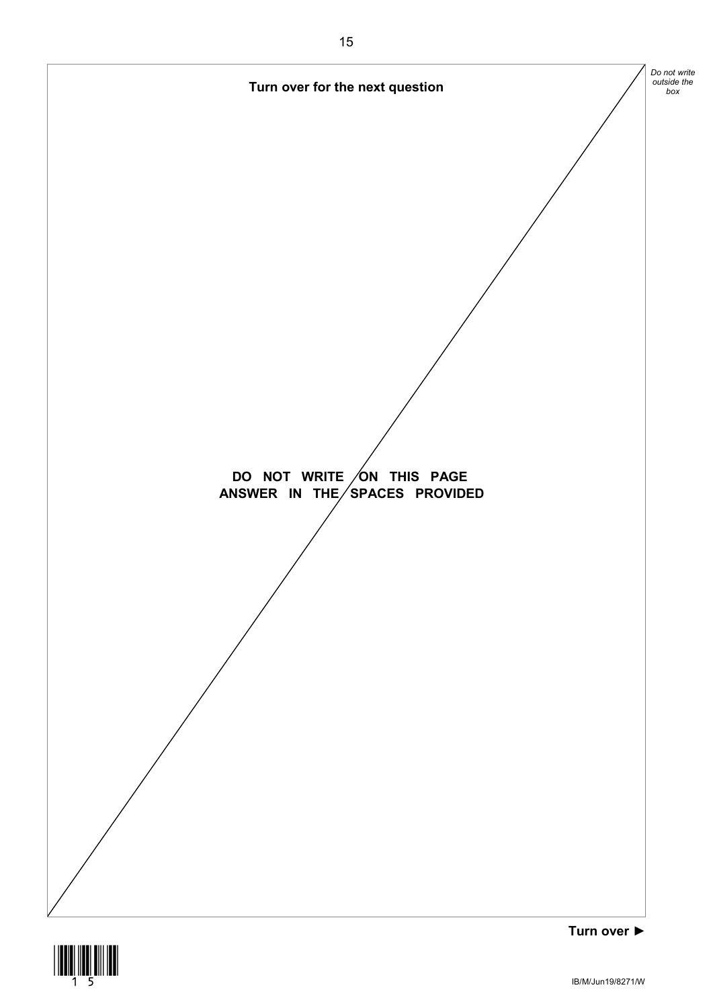



IB/M/Jun19/8271/W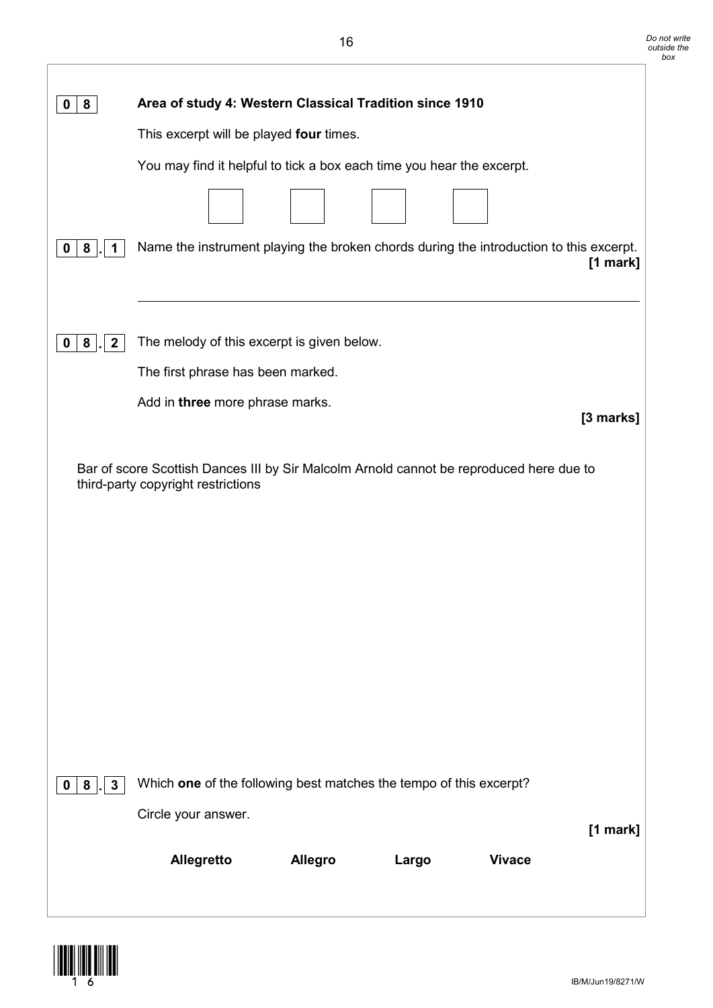| Area of study 4: Western Classical Tradition since 1910                                                                       |
|-------------------------------------------------------------------------------------------------------------------------------|
| This excerpt will be played four times.                                                                                       |
| You may find it helpful to tick a box each time you hear the excerpt.                                                         |
|                                                                                                                               |
|                                                                                                                               |
| Name the instrument playing the broken chords during the introduction to this excerpt.<br>$[1$ mark]                          |
|                                                                                                                               |
|                                                                                                                               |
| The melody of this excerpt is given below.                                                                                    |
| The first phrase has been marked.                                                                                             |
| Add in three more phrase marks.<br>[3 marks]                                                                                  |
|                                                                                                                               |
| Bar of score Scottish Dances III by Sir Malcolm Arnold cannot be reproduced here due to<br>third-party copyright restrictions |
|                                                                                                                               |
|                                                                                                                               |
|                                                                                                                               |
|                                                                                                                               |
|                                                                                                                               |
|                                                                                                                               |
|                                                                                                                               |
|                                                                                                                               |
|                                                                                                                               |
|                                                                                                                               |
| Which one of the following best matches the tempo of this excerpt?                                                            |
| Circle your answer.<br>[1 mark]                                                                                               |
| Allegretto<br><b>Allegro</b><br><b>Vivace</b><br>Largo                                                                        |
|                                                                                                                               |
|                                                                                                                               |

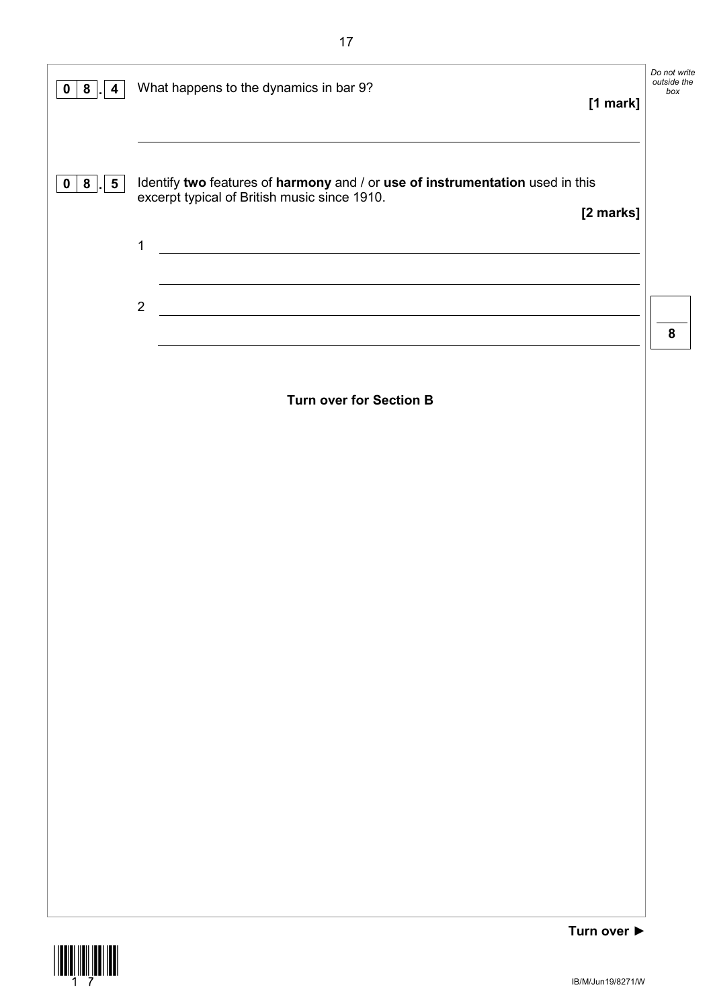| $0 \mid 8$<br>4            | What happens to the dynamics in bar 9?<br>[1 mark]                                                                                                                                                                       | Do not write<br>outside the<br>box |
|----------------------------|--------------------------------------------------------------------------------------------------------------------------------------------------------------------------------------------------------------------------|------------------------------------|
| 0   8<br>5 <sub>5</sub>    | Identify two features of harmony and / or use of instrumentation used in this<br>excerpt typical of British music since 1910.<br>[2 marks]<br>$\mathbf 1$<br><u> 1989 - Johann Barn, mars and de Brasilian (b. 1989)</u> |                                    |
|                            | $\mathbf 2$<br><u> 1989 - Johann Stoff, deutscher Stoffen und der Stoffen und der Stoffen und der Stoffen und der Stoffen und de</u>                                                                                     | 8                                  |
|                            | <b>Turn over for Section B</b>                                                                                                                                                                                           |                                    |
|                            |                                                                                                                                                                                                                          |                                    |
|                            |                                                                                                                                                                                                                          |                                    |
|                            |                                                                                                                                                                                                                          |                                    |
|                            |                                                                                                                                                                                                                          |                                    |
|                            |                                                                                                                                                                                                                          |                                    |
|                            |                                                                                                                                                                                                                          |                                    |
|                            |                                                                                                                                                                                                                          |                                    |
|                            |                                                                                                                                                                                                                          |                                    |
| <b>THEFTH HEILIER HEIL</b> | Turn over ▶                                                                                                                                                                                                              |                                    |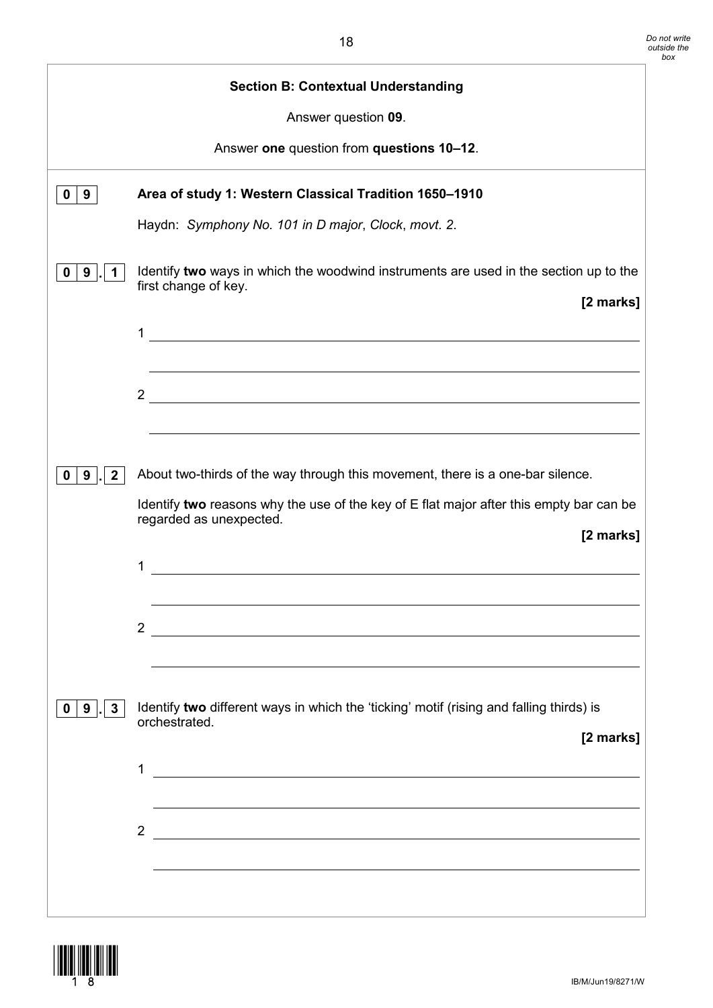|                                   | <b>Section B: Contextual Understanding</b>                                                                                      |
|-----------------------------------|---------------------------------------------------------------------------------------------------------------------------------|
|                                   | Answer question 09.                                                                                                             |
|                                   | Answer one question from questions 10-12.                                                                                       |
| $\mathbf 0$<br>9                  | Area of study 1: Western Classical Tradition 1650-1910                                                                          |
|                                   | Haydn: Symphony No. 101 in D major, Clock, movt. 2.                                                                             |
| 9                                 | Identify two ways in which the woodwind instruments are used in the section up to the<br>first change of key.<br>[2 marks]      |
|                                   | 1<br><u> 1989 - Johann Stein, mars an de Francisco Barbara (</u>                                                                |
|                                   | $2 \overline{ }$                                                                                                                |
| 9<br>$\mathbf{2}$<br>0            | About two-thirds of the way through this movement, there is a one-bar silence.                                                  |
|                                   | Identify two reasons why the use of the key of E flat major after this empty bar can be<br>regarded as unexpected.<br>[2 marks] |
|                                   | 1                                                                                                                               |
|                                   | $\overline{2}$<br><u> 1980 - Jan Samuel Barbara, margaret eta idazlearia (h. 1980).</u>                                         |
| $0 \mid 9 \mid$ .<br>$\mathbf{3}$ | Identify two different ways in which the 'ticking' motif (rising and falling thirds) is<br>orchestrated.<br>[2 marks]           |
|                                   | 1<br><u> 1989 - Johann Barbara, martxa amerikan bashkar (</u>                                                                   |
|                                   | $\overline{2}$<br><u> 1989 - Johann Stein, fransk politik (f. 1989)</u>                                                         |
|                                   |                                                                                                                                 |

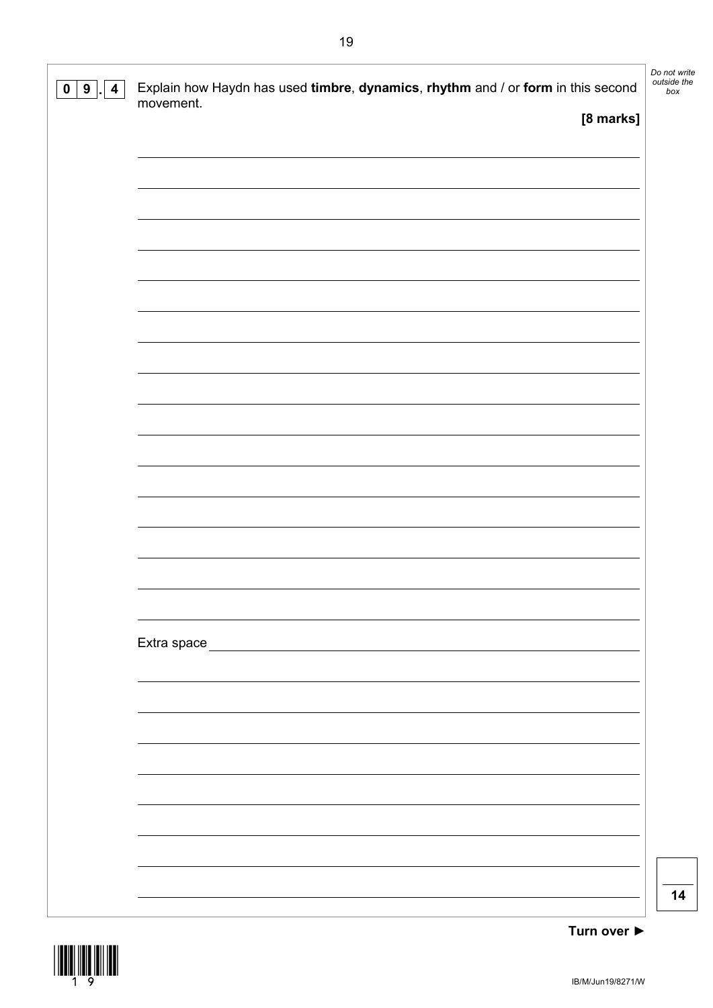| $\mathbf 0$<br>9<br>4 | Explain how Haydn has used timbre, dynamics, rhythm and / or form in this second<br>movement. | Do not write<br>outside the<br>box |
|-----------------------|-----------------------------------------------------------------------------------------------|------------------------------------|
|                       | [8 marks]                                                                                     |                                    |
|                       |                                                                                               |                                    |
|                       |                                                                                               |                                    |
|                       |                                                                                               |                                    |
|                       |                                                                                               |                                    |
|                       |                                                                                               |                                    |
|                       |                                                                                               |                                    |
|                       |                                                                                               |                                    |
|                       |                                                                                               |                                    |
|                       |                                                                                               |                                    |
|                       |                                                                                               |                                    |
|                       |                                                                                               |                                    |
|                       |                                                                                               |                                    |
|                       |                                                                                               |                                    |
|                       |                                                                                               |                                    |
|                       |                                                                                               |                                    |
|                       |                                                                                               |                                    |
|                       |                                                                                               |                                    |
|                       | Extra space <u>extra space</u>                                                                |                                    |
|                       |                                                                                               |                                    |
|                       |                                                                                               |                                    |
|                       |                                                                                               |                                    |
|                       |                                                                                               |                                    |
|                       |                                                                                               |                                    |
|                       |                                                                                               |                                    |
|                       |                                                                                               |                                    |
|                       |                                                                                               |                                    |
|                       |                                                                                               | 14                                 |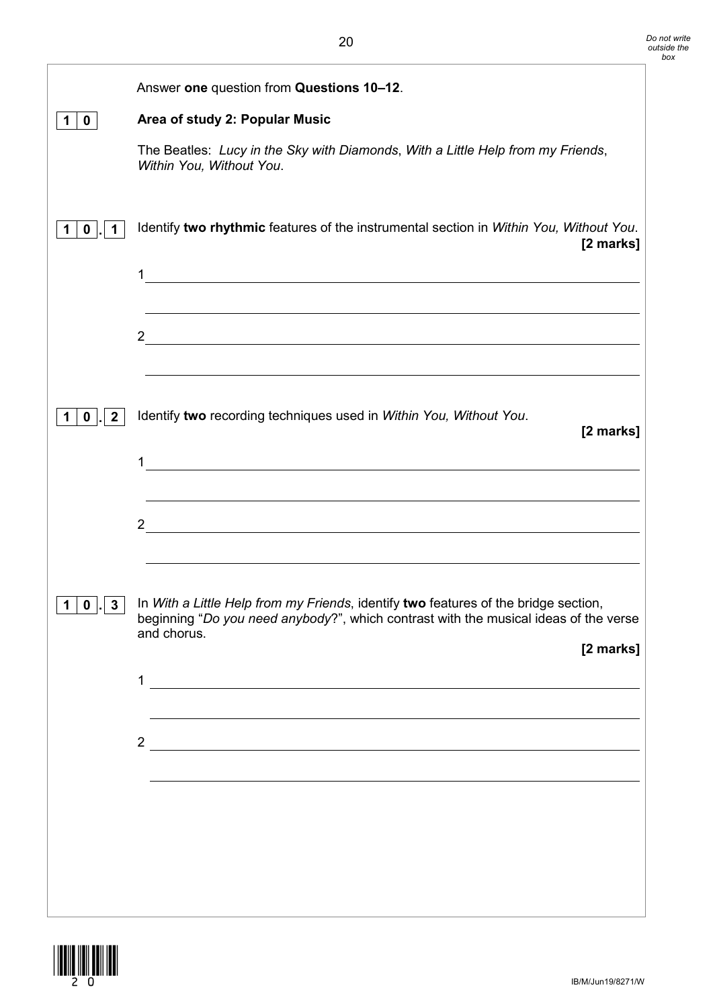|                             | Answer one question from Questions 10-12.                                                                                                                                                               |
|-----------------------------|---------------------------------------------------------------------------------------------------------------------------------------------------------------------------------------------------------|
| $\mathbf 0$                 | Area of study 2: Popular Music                                                                                                                                                                          |
|                             | The Beatles: Lucy in the Sky with Diamonds, With a Little Help from my Friends,<br>Within You, Without You.                                                                                             |
| 0                           | Identify two rhythmic features of the instrumental section in Within You, Without You.<br>[2 marks]                                                                                                     |
|                             | <u> 1989 - Johann Stoff, amerikansk politiker (d. 1989)</u><br>2 $\overline{\phantom{a}}$                                                                                                               |
| $\mathbf{2}$<br>$\mathbf 0$ | Identify two recording techniques used in Within You, Without You.<br>[2 marks]                                                                                                                         |
|                             | $1$ $\overline{\phantom{a}}$<br><u> 1989 - Johann Stoff, amerikansk politiker (d. 1989)</u><br>$2 \overline{ }$                                                                                         |
| 1   0     3                 | In With a Little Help from my Friends, identify two features of the bridge section,<br>beginning "Do you need anybody?", which contrast with the musical ideas of the verse<br>and chorus.<br>[2 marks] |
|                             | $\frac{2}{\sqrt{2}}$                                                                                                                                                                                    |
|                             |                                                                                                                                                                                                         |

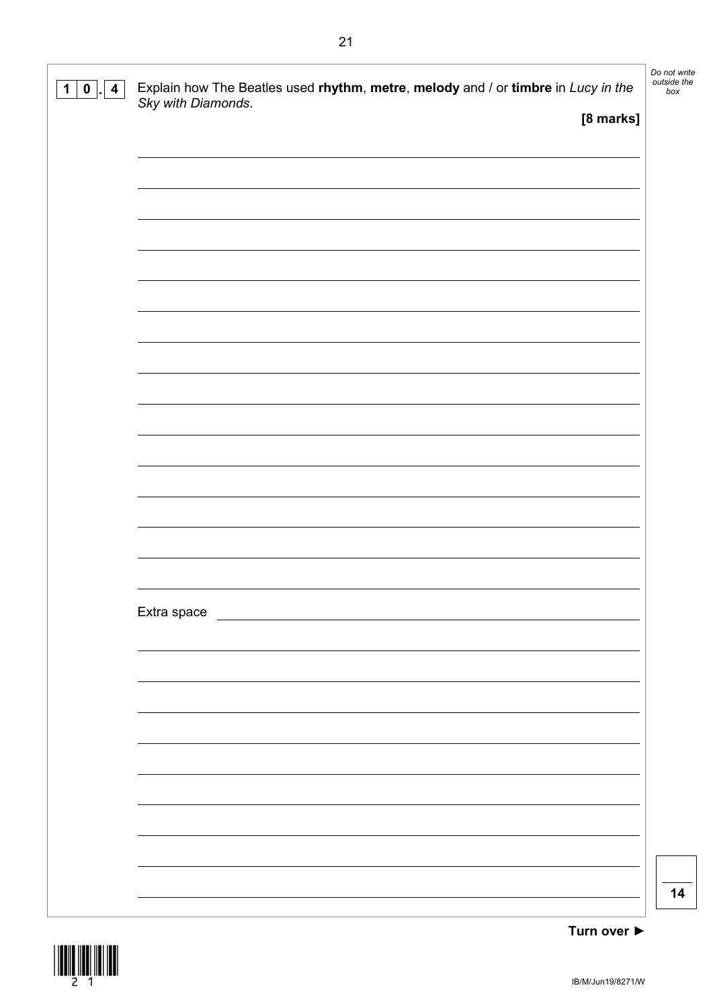| $\mathbf 1$<br>$\mathbf{0}$<br>4 | Explain how The Beatles used rhythm, metre, melody and / or timbre in Lucy in the Sky with Diamonds. | Do not write<br>outside the<br>box |
|----------------------------------|------------------------------------------------------------------------------------------------------|------------------------------------|
|                                  | [8 marks]                                                                                            |                                    |
|                                  |                                                                                                      |                                    |
|                                  |                                                                                                      |                                    |
|                                  |                                                                                                      |                                    |
|                                  |                                                                                                      |                                    |
|                                  |                                                                                                      |                                    |
|                                  |                                                                                                      |                                    |
|                                  |                                                                                                      |                                    |
|                                  |                                                                                                      |                                    |
|                                  |                                                                                                      |                                    |
|                                  |                                                                                                      |                                    |
|                                  |                                                                                                      |                                    |
|                                  |                                                                                                      |                                    |
|                                  |                                                                                                      |                                    |
|                                  |                                                                                                      |                                    |
|                                  |                                                                                                      |                                    |
|                                  |                                                                                                      |                                    |
|                                  |                                                                                                      |                                    |
|                                  |                                                                                                      |                                    |
|                                  |                                                                                                      |                                    |
|                                  | Extra space                                                                                          |                                    |
|                                  |                                                                                                      |                                    |
|                                  |                                                                                                      |                                    |
|                                  |                                                                                                      |                                    |
|                                  |                                                                                                      |                                    |
|                                  |                                                                                                      |                                    |
|                                  |                                                                                                      |                                    |
|                                  |                                                                                                      |                                    |
|                                  |                                                                                                      |                                    |
|                                  |                                                                                                      |                                    |
|                                  |                                                                                                      |                                    |
|                                  |                                                                                                      | 14                                 |
|                                  |                                                                                                      |                                    |

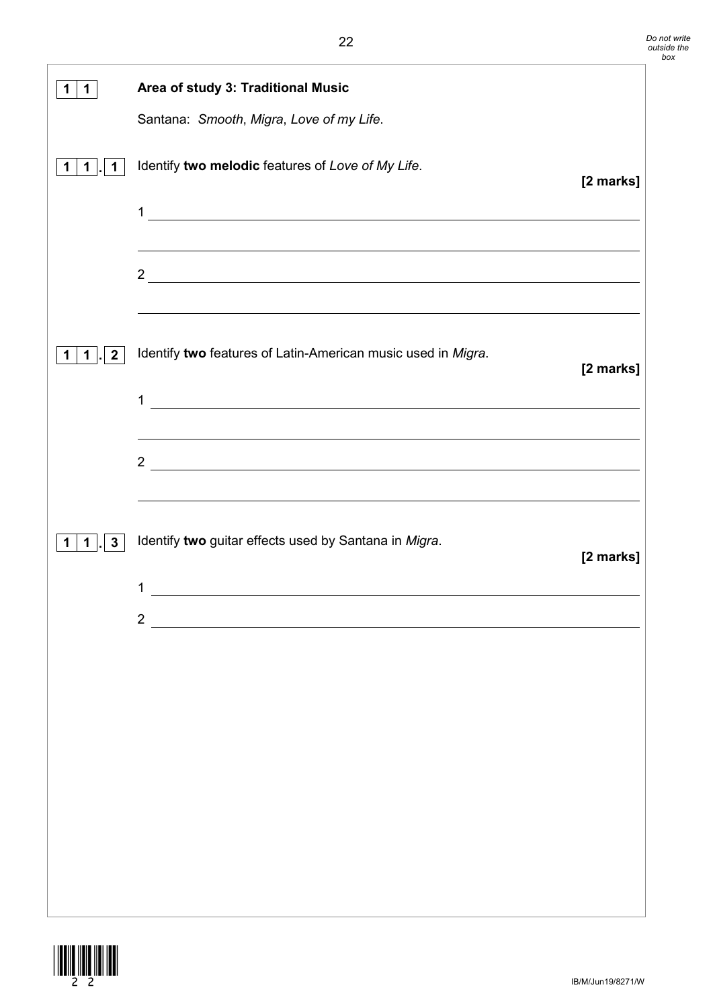| 1.                | Area of study 3: Traditional Music                                                                                          |           |
|-------------------|-----------------------------------------------------------------------------------------------------------------------------|-----------|
|                   | Santana: Smooth, Migra, Love of my Life.                                                                                    |           |
| 1.                | Identify two melodic features of Love of My Life.                                                                           | [2 marks] |
|                   |                                                                                                                             |           |
|                   |                                                                                                                             |           |
| $\mathbf{2}$<br>1 | <u> 1989 - Johann Stoff, amerikansk politiker (d. 1989)</u><br>Identify two features of Latin-American music used in Migra. | [2 marks] |
|                   | <u> 1989 - Johann Stoff, deutscher Stoffen und der Stoffen und der Stoffen und der Stoffen und der Stoffen und der</u><br>1 |           |
|                   | $2\overline{ }$<br>的,我们也不会有什么。""我们的人,我们也不会有什么?""我们的人,我们也不会有什么?""我们的人,我们也不会有什么?""我们的人,我们也不会有什么?""我们的                         |           |
| 3<br>1            | Identify two guitar effects used by Santana in Migra.                                                                       | [2 marks] |
|                   | 1                                                                                                                           |           |
|                   | $\overline{2}$                                                                                                              |           |
|                   |                                                                                                                             |           |
|                   |                                                                                                                             |           |
|                   |                                                                                                                             |           |
|                   |                                                                                                                             |           |
|                   |                                                                                                                             |           |
|                   |                                                                                                                             |           |
|                   |                                                                                                                             |           |
|                   |                                                                                                                             |           |

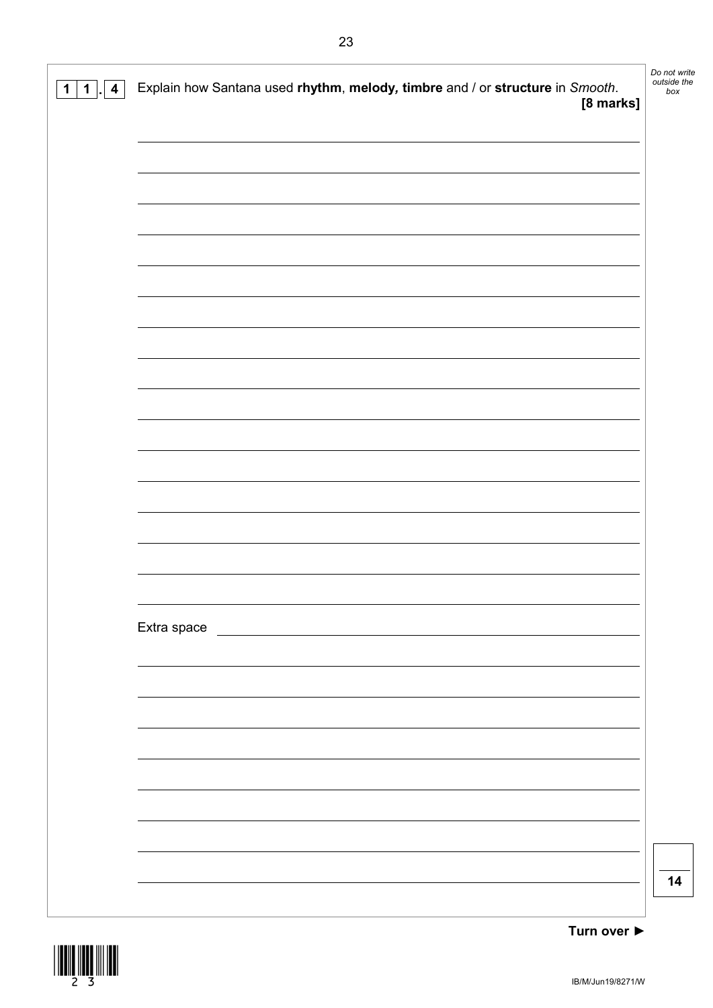| $\overline{\mathbf{4}}$<br>$\mathbf 1$<br>1 | Explain how Santana used rhythm, melody, timbre and / or structure in Smooth.<br>[8 marks] | Do not write<br>outside the<br>box |
|---------------------------------------------|--------------------------------------------------------------------------------------------|------------------------------------|
|                                             |                                                                                            |                                    |
|                                             |                                                                                            |                                    |
|                                             |                                                                                            |                                    |
|                                             |                                                                                            |                                    |
|                                             |                                                                                            |                                    |
|                                             |                                                                                            |                                    |
|                                             |                                                                                            |                                    |
|                                             |                                                                                            |                                    |
|                                             |                                                                                            |                                    |
|                                             |                                                                                            |                                    |
|                                             |                                                                                            |                                    |
|                                             |                                                                                            |                                    |
|                                             |                                                                                            |                                    |
|                                             |                                                                                            |                                    |
|                                             |                                                                                            |                                    |
|                                             |                                                                                            |                                    |
|                                             |                                                                                            |                                    |
|                                             | Extra space                                                                                |                                    |
|                                             |                                                                                            |                                    |
|                                             |                                                                                            |                                    |
|                                             |                                                                                            |                                    |
|                                             |                                                                                            |                                    |
|                                             |                                                                                            |                                    |
|                                             |                                                                                            |                                    |
|                                             |                                                                                            |                                    |
|                                             |                                                                                            |                                    |
|                                             |                                                                                            | 14                                 |
|                                             |                                                                                            |                                    |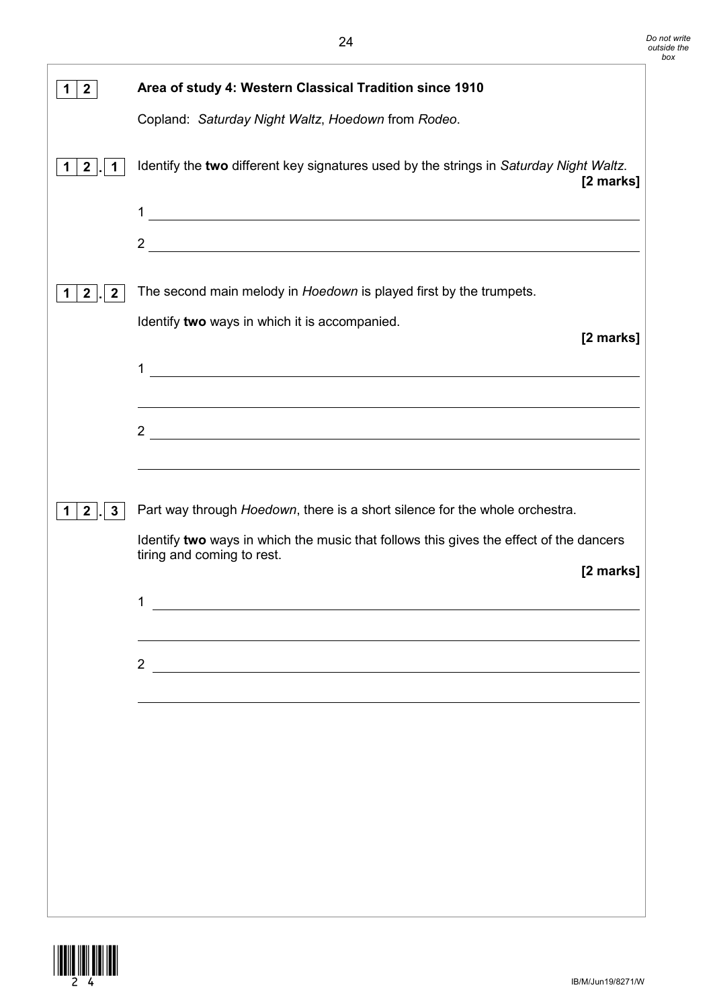| $\mathbf{2}$                 | Area of study 4: Western Classical Tradition since 1910                                                                              |
|------------------------------|--------------------------------------------------------------------------------------------------------------------------------------|
|                              | Copland: Saturday Night Waltz, Hoedown from Rodeo.                                                                                   |
| $\mathbf{2}$<br>1<br>1       | Identify the two different key signatures used by the strings in Saturday Night Waltz.<br>[2 marks]                                  |
|                              | 1<br><u> 1989 - Johann Stoff, deutscher Stoffen und der Stoffen und der Stoffen und der Stoffen und der Stoffen und de</u>           |
|                              | $2 \overline{ }$                                                                                                                     |
| $\mathbf{2}$<br>$\mathbf{2}$ | The second main melody in Hoedown is played first by the trumpets.<br>Identify two ways in which it is accompanied.                  |
|                              | [2 marks]                                                                                                                            |
|                              | 1                                                                                                                                    |
|                              |                                                                                                                                      |
|                              | <u> 1989 - Johann Stoff, deutscher Stoffen und der Stoffen und der Stoffen und der Stoffen und der Stoffen und de</u><br>$2^{\circ}$ |
|                              |                                                                                                                                      |
| $\mathbf{2}$<br>3            | Part way through Hoedown, there is a short silence for the whole orchestra.                                                          |
|                              | Identify two ways in which the music that follows this gives the effect of the dancers<br>tiring and coming to rest.                 |
|                              | [2 marks]                                                                                                                            |
|                              | 1                                                                                                                                    |
|                              |                                                                                                                                      |
|                              | 2 and $\overline{\phantom{a}1}$                                                                                                      |
|                              |                                                                                                                                      |
|                              |                                                                                                                                      |
|                              |                                                                                                                                      |
|                              |                                                                                                                                      |
|                              |                                                                                                                                      |
|                              |                                                                                                                                      |
|                              |                                                                                                                                      |

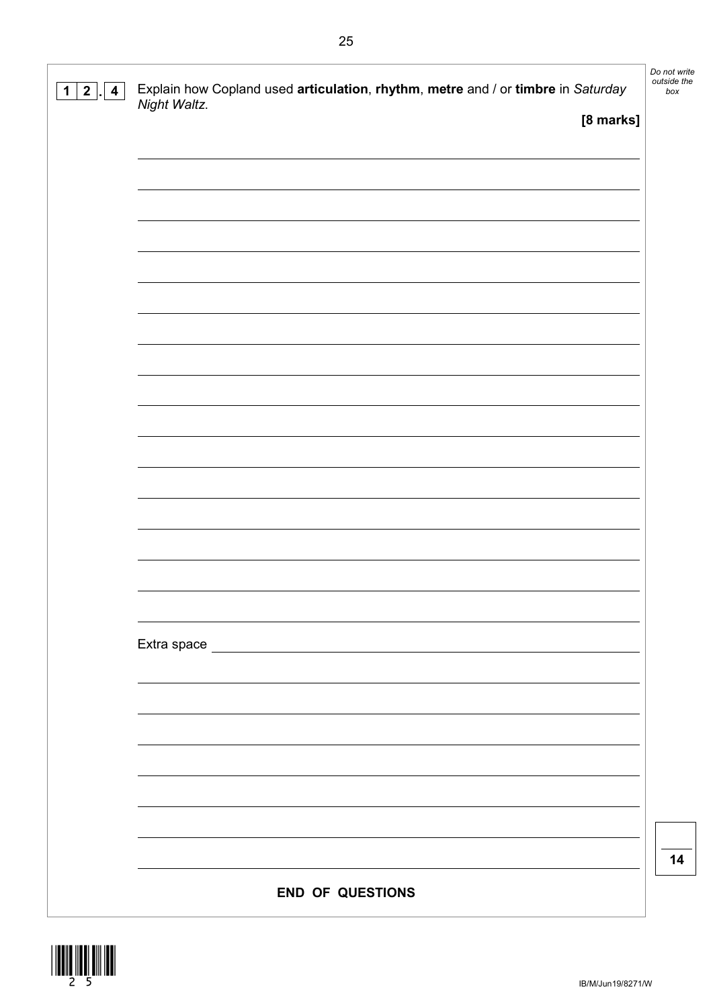| $\mathbf{2}$<br>$\overline{\mathbf{4}}$<br>1. | Explain how Copland used articulation, rhythm, metre and / or timbre in Saturday<br>Night Waltz. | Do not write<br>outside the<br>box |
|-----------------------------------------------|--------------------------------------------------------------------------------------------------|------------------------------------|
|                                               | [8 marks]                                                                                        |                                    |
|                                               |                                                                                                  |                                    |
|                                               |                                                                                                  |                                    |
|                                               |                                                                                                  |                                    |
|                                               |                                                                                                  |                                    |
|                                               |                                                                                                  |                                    |
|                                               |                                                                                                  |                                    |
|                                               |                                                                                                  |                                    |
|                                               |                                                                                                  |                                    |
|                                               |                                                                                                  |                                    |
|                                               |                                                                                                  |                                    |
|                                               |                                                                                                  |                                    |
|                                               |                                                                                                  |                                    |
|                                               |                                                                                                  |                                    |
|                                               |                                                                                                  |                                    |
|                                               |                                                                                                  |                                    |
|                                               |                                                                                                  |                                    |
|                                               |                                                                                                  |                                    |
|                                               |                                                                                                  |                                    |
|                                               |                                                                                                  |                                    |
|                                               |                                                                                                  |                                    |
|                                               |                                                                                                  |                                    |
|                                               |                                                                                                  |                                    |
|                                               |                                                                                                  |                                    |
|                                               |                                                                                                  |                                    |
|                                               |                                                                                                  | 14                                 |
|                                               | <b>END OF QUESTIONS</b>                                                                          |                                    |

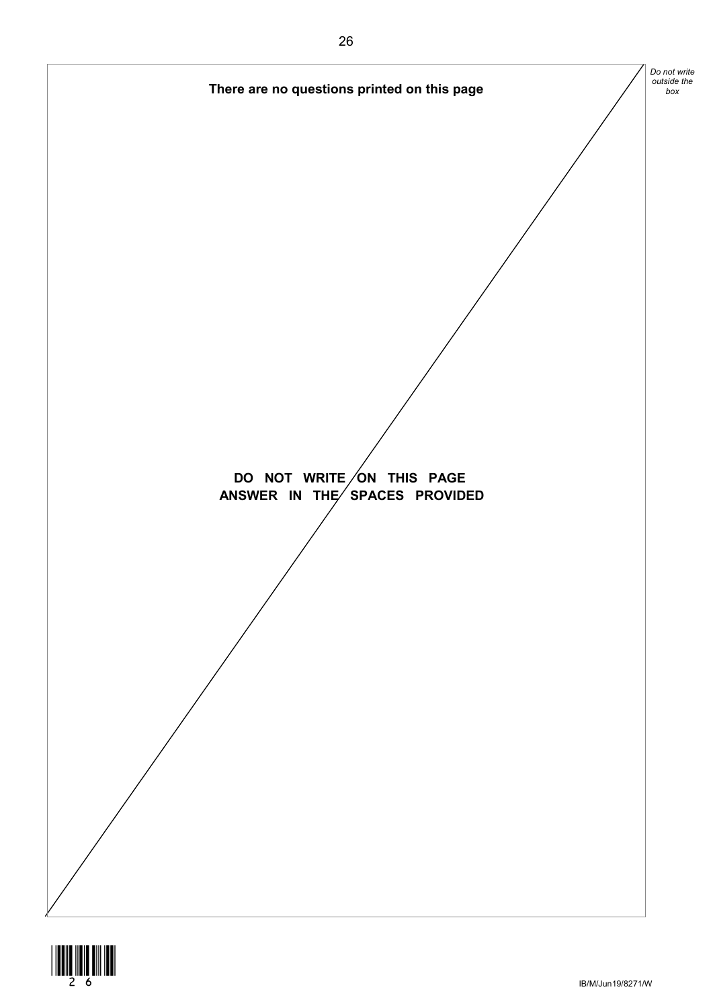

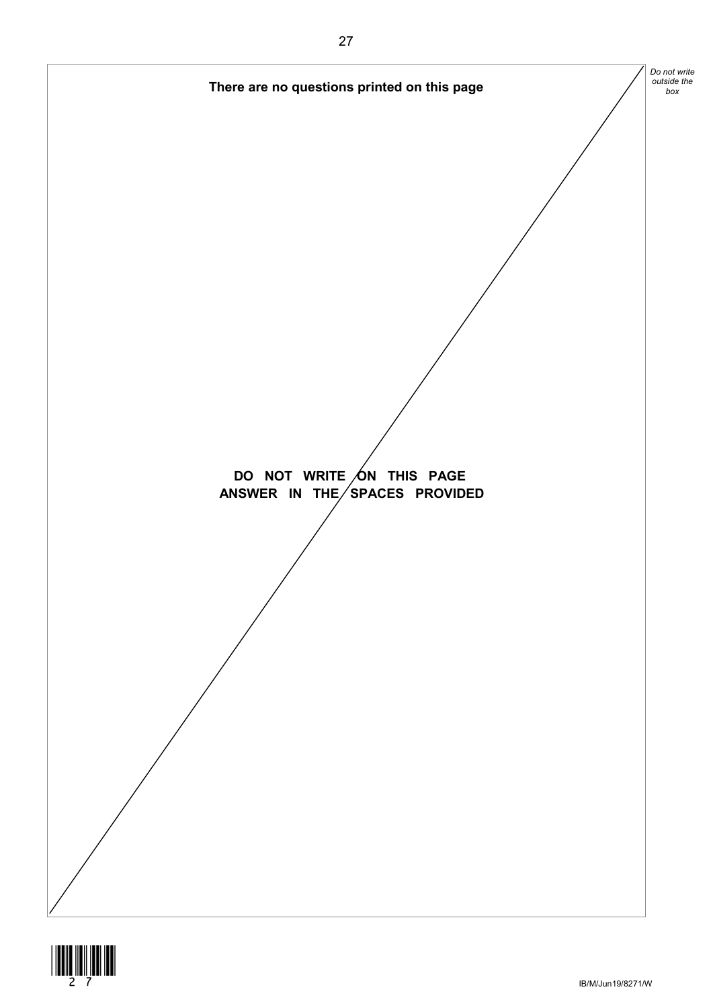